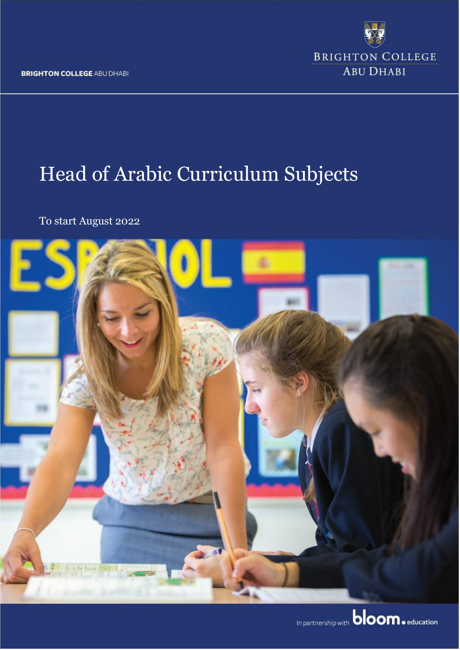**BRIGHTON COLLEGE ABU DHABI** 



# Head of Arabic Curriculum Subjects

To start August 2022

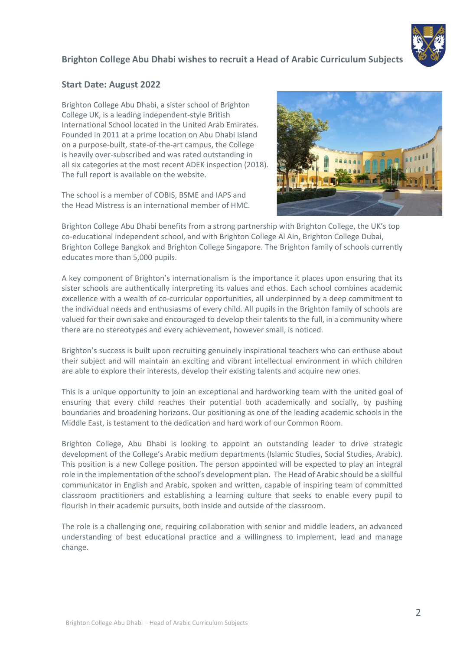

# **Brighton College Abu Dhabi wishes to recruit a Head of Arabic Curriculum Subjects**

#### **Start Date: August 2022**

Brighton College Abu Dhabi, a sister school of Brighton College UK, is a leading independent-style British International School located in the United Arab Emirates. Founded in 2011 at a prime location on Abu Dhabi Island on a purpose-built, state-of-the-art campus, the College is heavily over-subscribed and was rated outstanding in all six categories at the most recent ADEK inspection (2018). The full report is available on the website.

The school is a member of COBIS, BSME and IAPS and the Head Mistress is an international member of HMC.



Brighton College Abu Dhabi benefits from a strong partnership with Brighton College, the UK's top co-educational independent school, and with Brighton College Al Ain, Brighton College Dubai, Brighton College Bangkok and Brighton College Singapore. The Brighton family of schools currently educates more than 5,000 pupils.

A key component of Brighton's internationalism is the importance it places upon ensuring that its sister schools are authentically interpreting its values and ethos. Each school combines academic excellence with a wealth of co-curricular opportunities, all underpinned by a deep commitment to the individual needs and enthusiasms of every child. All pupils in the Brighton family of schools are valued for their own sake and encouraged to develop their talents to the full, in a community where there are no stereotypes and every achievement, however small, is noticed.

Brighton's success is built upon recruiting genuinely inspirational teachers who can enthuse about their subject and will maintain an exciting and vibrant intellectual environment in which children are able to explore their interests, develop their existing talents and acquire new ones.

This is a unique opportunity to join an exceptional and hardworking team with the united goal of ensuring that every child reaches their potential both academically and socially, by pushing boundaries and broadening horizons. Our positioning as one of the leading academic schools in the Middle East, is testament to the dedication and hard work of our Common Room.

Brighton College, Abu Dhabi is looking to appoint an outstanding leader to drive strategic development of the College's Arabic medium departments (Islamic Studies, Social Studies, Arabic). This position is a new College position. The person appointed will be expected to play an integral role in the implementation of the school's development plan. The Head of Arabic should be a skillful communicator in English and Arabic, spoken and written, capable of inspiring team of committed classroom practitioners and establishing a learning culture that seeks to enable every pupil to flourish in their academic pursuits, both inside and outside of the classroom.

The role is a challenging one, requiring collaboration with senior and middle leaders, an advanced understanding of best educational practice and a willingness to implement, lead and manage change.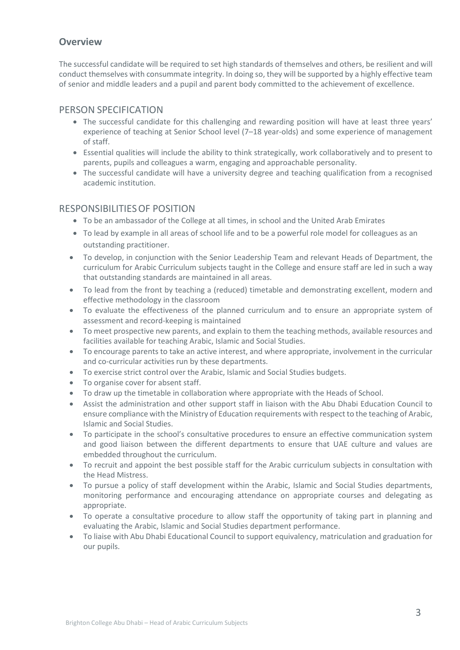## **Overview**

The successful candidate will be required to set high standards of themselves and others, be resilient and will conduct themselves with consummate integrity. In doing so, they will be supported by a highly effective team of senior and middle leaders and a pupil and parent body committed to the achievement of excellence.

#### PERSON SPECIFICATION

- The successful candidate for this challenging and rewarding position will have at least three years' experience of teaching at Senior School level (7–18 year-olds) and some experience of management of staff.
- Essential qualities will include the ability to think strategically, work collaboratively and to present to parents, pupils and colleagues a warm, engaging and approachable personality.
- The successful candidate will have a university degree and teaching qualification from a recognised academic institution.

## RESPONSIBILITIESOF POSITION

- To be an ambassador of the College at all times, in school and the United Arab Emirates
- To lead by example in all areas of school life and to be a powerful role model for colleagues as an outstanding practitioner.
- To develop, in conjunction with the Senior Leadership Team and relevant Heads of Department, the curriculum for Arabic Curriculum subjects taught in the College and ensure staff are led in such a way that outstanding standards are maintained in all areas.
- To lead from the front by teaching a (reduced) timetable and demonstrating excellent, modern and effective methodology in the classroom
- To evaluate the effectiveness of the planned curriculum and to ensure an appropriate system of assessment and record-keeping is maintained
- To meet prospective new parents, and explain to them the teaching methods, available resources and facilities available for teaching Arabic, Islamic and Social Studies.
- To encourage parents to take an active interest, and where appropriate, involvement in the curricular and co-curricular activities run by these departments.
- To exercise strict control over the Arabic, Islamic and Social Studies budgets.
- To organise cover for absent staff.
- To draw up the timetable in collaboration where appropriate with the Heads of School.
- Assist the administration and other support staff in liaison with the Abu Dhabi Education Council to ensure compliance with the Ministry of Education requirements with respect to the teaching of Arabic, Islamic and Social Studies.
- To participate in the school's consultative procedures to ensure an effective communication system and good liaison between the different departments to ensure that UAE culture and values are embedded throughout the curriculum.
- To recruit and appoint the best possible staff for the Arabic curriculum subjects in consultation with the Head Mistress.
- To pursue a policy of staff development within the Arabic, Islamic and Social Studies departments, monitoring performance and encouraging attendance on appropriate courses and delegating as appropriate.
- To operate a consultative procedure to allow staff the opportunity of taking part in planning and evaluating the Arabic, Islamic and Social Studies department performance.
- To liaise with Abu Dhabi Educational Council to support equivalency, matriculation and graduation for our pupils.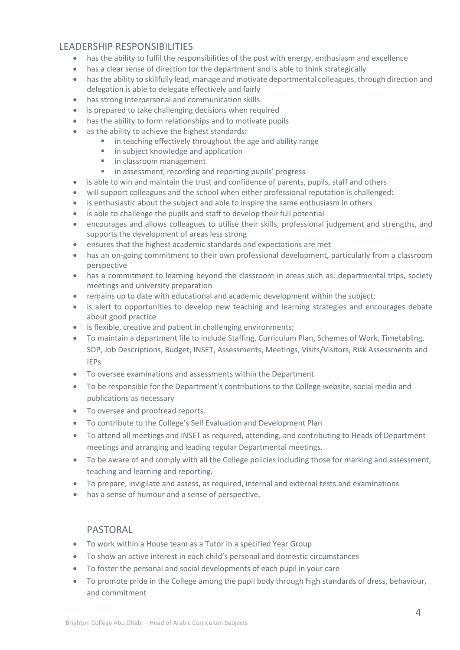## LEADERSHIP RESPONSIBILITIES

- has the ability to fulfil the responsibilities of the post with energy, enthusiasm and excellence
- has a clear sense of direction for the department and is able to think strategically
- has the ability to skillfully lead, manage and motivate departmental colleagues, through direction and delegation is able to delegate effectively and fairly
- has strong interpersonal and communication skills
- is prepared to take challenging decisions when required
- has the ability to form relationships and to motivate pupils
- as the ability to achieve the highest standards:
	- **n** in teaching effectively throughout the age and ability range
	- **in subject knowledge and application**
	- **in classroom management**
	- **in assessment, recording and reporting pupils' progress**
- is able to win and maintain the trust and confidence of parents, pupils, staff and others
- will support colleagues and the school when either professional reputation is challenged:
- is enthusiastic about the subject and able to inspire the same enthusiasm in others
- is able to challenge the pupils and staff to develop their full potential
- encourages and allows colleagues to utilise their skills, professional judgement and strengths, and supports the development of areas less strong
- ensures that the highest academic standards and expectations are met
- has an on-going commitment to their own professional development, particularly from a classroom perspective
- has a commitment to learning beyond the classroom in areas such as: departmental trips, society meetings and university preparation
- remains up to date with educational and academic development within the subject;
- is alert to opportunities to develop new teaching and learning strategies and encourages debate about good practice
- is flexible, creative and patient in challenging environments;
- To maintain a department file to include Staffing, Curriculum Plan, Schemes of Work, Timetabling, SDP, Job Descriptions, Budget, INSET, Assessments, Meetings, Visits/Visitors, Risk Assessments and IEPs
- To oversee examinations and assessments within the Department
- To be responsible for the Department's contributions to the College website, social media and publications as necessary
- To oversee and proofread reports.
- To contribute to the College's Self Evaluation and Development Plan
- To attend all meetings and INSET as required, attending, and contributing to Heads of Department meetings and arranging and leading regular Departmental meetings.
- To be aware of and comply with all the College policies including those for marking and assessment, teaching and learning and reporting.
- To prepare, invigilate and assess, as required, internal and external tests and examinations
- has a sense of humour and a sense of perspective.

## PASTORAL

- To work within a House team as a Tutor in a specified Year Group
- To show an active interest in each child's personal and domestic circumstances
- To foster the personal and social developments of each pupil in your care
- To promote pride in the College among the pupil body through high standards of dress, behaviour, and commitment